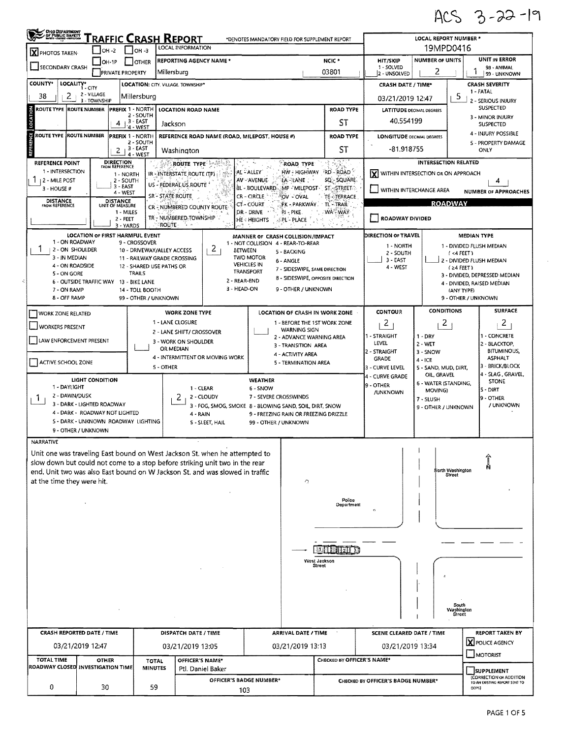ACS 3-22-19

 $\hat{\mathcal{C}}$ 

| GIO DEPARTMENT                                                                                                           |                                                                                                                            |                                                                                                         |                                                                    | Traffic Crash Report                                                                             |                                                                                                                                                                                                                                           |                                                                                                                                                                                                 |                                                                                                                                                                                                                                                                                    | *DENOTES MANDATORY FIELD FOR SUPPLEMENT REPORT  |                                                                                                                               | <b>LOCAL REPORT NUMBER *</b>                                                                                        |                                                     |                                                                                                                                    |  |  |
|--------------------------------------------------------------------------------------------------------------------------|----------------------------------------------------------------------------------------------------------------------------|---------------------------------------------------------------------------------------------------------|--------------------------------------------------------------------|--------------------------------------------------------------------------------------------------|-------------------------------------------------------------------------------------------------------------------------------------------------------------------------------------------------------------------------------------------|-------------------------------------------------------------------------------------------------------------------------------------------------------------------------------------------------|------------------------------------------------------------------------------------------------------------------------------------------------------------------------------------------------------------------------------------------------------------------------------------|-------------------------------------------------|-------------------------------------------------------------------------------------------------------------------------------|---------------------------------------------------------------------------------------------------------------------|-----------------------------------------------------|------------------------------------------------------------------------------------------------------------------------------------|--|--|
| X PHOTOS TAKEN                                                                                                           | $IOH -2$                                                                                                                   |                                                                                                         | $IOH - 3$                                                          |                                                                                                  | LOCAL INFORMATION                                                                                                                                                                                                                         |                                                                                                                                                                                                 |                                                                                                                                                                                                                                                                                    | 19MPD0416                                       |                                                                                                                               |                                                                                                                     |                                                     |                                                                                                                                    |  |  |
| SECONDARY CRASH                                                                                                          | IOH-1P                                                                                                                     | <b>PRIVATE PROPERTY</b>                                                                                 | <b>OTHER</b>                                                       | Millersburg                                                                                      | <b>REPORTING AGENCY NAME*</b>                                                                                                                                                                                                             |                                                                                                                                                                                                 |                                                                                                                                                                                                                                                                                    | <b>HIT/SKIP</b><br>1 - SOLVED<br>2 - UNSOLVED   | <b>NUMBER OF UNITS</b><br>2                                                                                                   |                                                                                                                     | <b>UNIT IN ERROR</b><br>98 - ANIMAL<br>99 - UNKNOWN |                                                                                                                                    |  |  |
| <b>COUNTY*</b><br><b>LOCALITY*</b>                                                                                       | $1 - C11Y$                                                                                                                 |                                                                                                         |                                                                    | <b>LOCATION: CITY, VILLAGE, TOWNSHIP*</b>                                                        |                                                                                                                                                                                                                                           |                                                                                                                                                                                                 |                                                                                                                                                                                                                                                                                    |                                                 |                                                                                                                               | <b>CRASH SEVERITY</b><br><b>CRASH DATE / TIME*</b><br>1 - FATAL                                                     |                                                     |                                                                                                                                    |  |  |
| 2<br>38                                                                                                                  | 2 - VILLAGE<br>3 - TOWNSHIP                                                                                                |                                                                                                         | Millersburg                                                        |                                                                                                  |                                                                                                                                                                                                                                           | 03/21/2019 12:47                                                                                                                                                                                |                                                                                                                                                                                                                                                                                    | 5                                               | 2 - SERIOUS INJURY                                                                                                            |                                                                                                                     |                                                     |                                                                                                                                    |  |  |
| <b>ROUTE TYPE ROUTE NUMBER</b>                                                                                           |                                                                                                                            | PREFIX 1 - NORTH                                                                                        | 2 - SOUTH                                                          |                                                                                                  | <b>LOCATION ROAD NAME</b>                                                                                                                                                                                                                 |                                                                                                                                                                                                 | <b>ROAD TYPE</b>                                                                                                                                                                                                                                                                   | <b>LATITUDE DECIMAL DEGREES</b>                 | <b>SUSPECTED</b><br>3 - MINOR INJURY                                                                                          |                                                                                                                     |                                                     |                                                                                                                                    |  |  |
| LOCA                                                                                                                     |                                                                                                                            | 4                                                                                                       | , 3 - EAST<br>$4 - WEST$                                           | Jackson                                                                                          |                                                                                                                                                                                                                                           |                                                                                                                                                                                                 | ST                                                                                                                                                                                                                                                                                 | 40,554199                                       |                                                                                                                               |                                                                                                                     | <b>SUSPECTED</b>                                    |                                                                                                                                    |  |  |
| ö<br>ROUTE TYPE  ROUTE NUMBER                                                                                            |                                                                                                                            | PREFIX 1 - NORTH<br>2                                                                                   | 2 - SOUTH<br>3 - EAST                                              | Washington                                                                                       | REFERENCE ROAD NAME (ROAD, MILEPOST, HOUSE #)                                                                                                                                                                                             |                                                                                                                                                                                                 |                                                                                                                                                                                                                                                                                    | <b>ROAD TYPE</b><br>ST                          | 4 - INJURY POSSIBLE<br><b>LONGITUDE DECIMAL DEGREES</b><br>5 - PROPERTY DAMAGE<br>-81.918755<br>ONLY                          |                                                                                                                     |                                                     |                                                                                                                                    |  |  |
| REFERENCE POINT<br>1 - INTERSECTION<br><b>12 - MILE POST</b><br>3 - HOUSE #                                              |                                                                                                                            | <b>DIRECTION</b><br>FROM REFERENCE<br>1 - NORTH<br>2 - SOUTH<br>3 - EAST<br>4 - WEST<br><b>DISTANCE</b> | 4 - WEST                                                           | US - FEDERAL US ROUTE<br>SR - STATE ROUTE                                                        | إبداعك<br>ROUTE TYPE<br>AL - ALLEY<br>IR - INTERSTATE ROUTE (TP)<br>AV-AVENUE<br><b>BL-BOULEVARD</b><br>CR - CIRCLE                                                                                                                       | <b>ROAD TYPE</b><br>HW - HIGHWAY<br>la lane :<br>OV - OVAL                                                                                                                                      | RD-ROAD<br>SQ:- SQUARE<br>$\mathbb{R}$ MP - Milepost $\mathbb{S}$ stestreet $\mathbb{S}$<br>TE-TERRACE                                                                                                                                                                             |                                                 | <b>INTERSECTION RELATED</b><br>X WITHIN INTERSECTION OR ON APPROACH<br>WITHIN INTERCHANGE AREA<br><b>NUMBER OF APPROACHES</b> |                                                                                                                     |                                                     |                                                                                                                                    |  |  |
| <b>DISTANCE</b><br>FROM REFERENCE                                                                                        |                                                                                                                            | UNIT OF MEASURE<br>1 - MILES<br>2 - FEET                                                                |                                                                    |                                                                                                  | CR - NUMBERED COUNTY ROUTE<br>TR - NUMBERED TOWNSHIP                                                                                                                                                                                      | CT-COURT<br>DR - DRIVE<br><b>HE: HEIGHTS</b>                                                                                                                                                    | PK - PARKWAY . TL - TRAIL<br>(P.I – PIKE.<br>PL - PLACE                                                                                                                                                                                                                            | <b>WA WAY</b>                                   | ROADWAY DIVIDED                                                                                                               |                                                                                                                     | <b>ROADWAY</b>                                      |                                                                                                                                    |  |  |
| 1 - ON ROADWAY<br>1<br>2 - ON SHOULDER<br>3 - IN MEDIAN<br>4 - ON ROADSIDE<br>5 - ON GORE<br>7 - ON RAMP<br>8 - OFF RAMP | LOCATION OF FIRST HARMFUL EVENT<br>6 - OUTSIDE TRAFFIC WAY 13 - BIKE LANE                                                  | 3 - YARDS                                                                                               | 9 - CROSSOVER<br>TRAILS<br>14 - TOLL BOOTH<br>99 - OTHER / UNKNOWN | ROUTE :<br>10 - DRIVEWAY/ALLEY ACCESS<br>11 - RAILWAY GRADE CROSSING<br>12 - SHARED USE PATHS OR | 2<br><b>BETWEEN</b><br><b>TWO MOTOR</b><br><b>VEHICLES IN</b><br><b>TRANSPORT</b><br>2 - REAR-END<br>3 - HEAD-ON                                                                                                                          | MANNER OF CRASH COLLISION/IMPACT<br>1 - NOT COLLISION 4 - REAR-TO-REAR<br>5 - BACKING<br>6 - ANGLE<br>7 - SIDESWIPE, SAME DIRECTION<br>8 - SIDESWIPE, OPPOSITE DIRECTION<br>9 - OTHER / UNKNOWN | DIRECTION OF TRAVEL<br><b>MEDIAN TYPE</b><br>1 - NORTH<br>1 - DIVIDED FLUSH MEDIAN<br>2 - SOUTH<br>(4 FEET)<br>3 - EAST<br>2 - DIVIDED FLUSH MEDIAN<br>4 - WEST<br>$(24$ FEET)<br>3 - DIVIDED, DEPRESSED MEDIAN<br>4 - DIVIDED, RAISED MEDIAN<br>(ANY TYPE)<br>9 - OTHER / UNKNOWN |                                                 |                                                                                                                               |                                                                                                                     |                                                     |                                                                                                                                    |  |  |
| <b>WORK ZONE RELATED</b>                                                                                                 |                                                                                                                            |                                                                                                         |                                                                    |                                                                                                  | <b>WORK ZONE TYPE</b>                                                                                                                                                                                                                     |                                                                                                                                                                                                 |                                                                                                                                                                                                                                                                                    | LOCATION OF CRASH IN WORK ZONE                  | <b>CONTOUR</b>                                                                                                                | CONDITIONS                                                                                                          |                                                     | <b>SURFACE</b>                                                                                                                     |  |  |
| WORKERS PRESENT<br>LAW ENFORCEMENT PRESENT<br>ACTIVE SCHOOL ZONE                                                         | <b>LIGHT CONDITION</b>                                                                                                     |                                                                                                         |                                                                    | 1 - LANE CLOSURE<br>OR MEDIAN<br>5 - OTHER                                                       | 2 - LANE SHIFT/ CROSSOVER<br>3 - WORK ON SHOULDER<br>4 - INTERMITTENT OR MOVING WORK                                                                                                                                                      | WEATHER                                                                                                                                                                                         | <b>WARNING SIGN</b><br>2 - ADVANCE WARNING AREA<br>3 - TRANSITION AREA<br>4 - ACTIVITY AREA<br>5 - TERMINATION AREA                                                                                                                                                                | 1 - BEFORE THE 1ST WORK ZONE                    | 2<br>1 - STRAIGHT<br>LEVEL<br>2 - STRAIGHT<br><b>GRADE</b><br>3 - CURVE LEVEL<br>4 - CURVE GRADE<br>9 - OTHER                 | 2<br>$1 - DRY$<br>$2 - WET$<br>3 - SNOW<br>$4 - ICE$<br>5 - SAND, MUD, DIRT,<br>OIL, GRAVEL<br>6 - WATER (STANDING, |                                                     | 2<br>1 - CONCRETE<br>2 - BLACKTOP,<br><b>BITUMINOUS,</b><br><b>ASPHALT</b><br>3 - BRICK/BLOCK<br>4 - SLAG , GRAVEL<br><b>STONE</b> |  |  |
| 1 - DAYLIGHT<br>2 - DAWN/DUSK<br>1.                                                                                      | 3 - DARK - LIGHTED ROADWAY<br>4 - DARK - ROADWAY NOT LIGHTED<br>5 - DARK - UNKNOWN ROADWAY LIGHTING<br>9 - OTHER / UNKNOWN |                                                                                                         |                                                                    |                                                                                                  | 1 - CLEAR<br>2 - CLOUDY<br>3 - FOG, SMOG, SMOKE 8 - BLOWING SAND, SOIL, DIRT, SNOW<br>4 - RAIN<br>S - SLEET. HAIL                                                                                                                         | 6 - SNOW<br>7 - SEVERE CROSSWINDS<br>99 - OTHER / UNKNOWN                                                                                                                                       | 9 - FREEZING RAIN OR FREEZING DRIZZLE                                                                                                                                                                                                                                              |                                                 | /UNKNOWN                                                                                                                      | MOVING)<br>7 - SLUSH<br>9 - OTHER / UNKNOWN                                                                         |                                                     | <b>S-DIRT</b><br><b>9 - OTHER</b><br>/ UNKNOWN                                                                                     |  |  |
| NARRATIVE<br>at the time they were hit.                                                                                  |                                                                                                                            |                                                                                                         |                                                                    |                                                                                                  | Unit one was traveling East bound on West Jackson St. when he attempted to<br>slow down but could not come to a stop before striking unit two in the rear<br>end, Unit two was also East bound on W Jackson St, and was slowed in traffic |                                                                                                                                                                                                 | $\Omega$                                                                                                                                                                                                                                                                           | Police<br>Department                            |                                                                                                                               |                                                                                                                     | North Washington<br>Street                          |                                                                                                                                    |  |  |
|                                                                                                                          |                                                                                                                            |                                                                                                         |                                                                    |                                                                                                  |                                                                                                                                                                                                                                           |                                                                                                                                                                                                 |                                                                                                                                                                                                                                                                                    | <b>DEDETER</b><br>West Jackson<br><b>Street</b> | Y)                                                                                                                            |                                                                                                                     | South<br>Washington<br>Street                       |                                                                                                                                    |  |  |
| CRASH REPORTED DATE / TIME                                                                                               |                                                                                                                            |                                                                                                         |                                                                    |                                                                                                  | DISPATCH DATE / TIME                                                                                                                                                                                                                      |                                                                                                                                                                                                 | ARRIVAL DATE / TIME                                                                                                                                                                                                                                                                |                                                 | <b>SCENE CLEARED DATE / TIME</b>                                                                                              |                                                                                                                     |                                                     | <b>REPORT TAKEN BY</b>                                                                                                             |  |  |
|                                                                                                                          | 03/21/2019 12:47                                                                                                           |                                                                                                         |                                                                    |                                                                                                  | 03/21/2019 13:05                                                                                                                                                                                                                          |                                                                                                                                                                                                 | 03/21/2019 13:13                                                                                                                                                                                                                                                                   |                                                 | 03/21/2019 13:34                                                                                                              |                                                                                                                     |                                                     | <b>X</b> POLICE AGENCY                                                                                                             |  |  |
| TOTAL TIME<br>ROADWAY CLOSED INVESTIGATION TIME                                                                          | <b>OTHER</b>                                                                                                               |                                                                                                         | <b>TOTAL</b><br><b>MINUTES</b>                                     |                                                                                                  | OFFICER'S NAME*<br>Ptl. Daniel Baker                                                                                                                                                                                                      |                                                                                                                                                                                                 |                                                                                                                                                                                                                                                                                    | CHECKED BY OFFICER'S NAME*                      | MOTORIST<br><b>SUPPLEMENT</b>                                                                                                 |                                                                                                                     |                                                     |                                                                                                                                    |  |  |
| OFFICER'S BADGE NUMBER*<br>0<br>30<br>59<br>103                                                                          |                                                                                                                            |                                                                                                         |                                                                    |                                                                                                  |                                                                                                                                                                                                                                           |                                                                                                                                                                                                 |                                                                                                                                                                                                                                                                                    |                                                 | (CORRECTION OR ADDITION<br>CHECKED BY OFFICER'S BADGE NUMBER*<br>TO AN EXISTING REPORT SENT TO<br>ODPS)                       |                                                                                                                     |                                                     |                                                                                                                                    |  |  |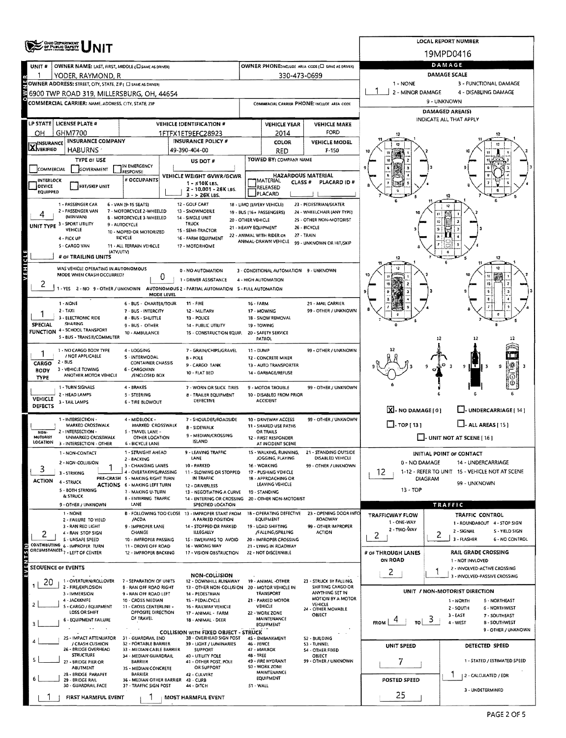|                                  | <b>OHO DEPARTMENT<br/>OF PUBLIC BAFETY</b>                                                                |                                                           | <b>LOCAL REPORT NUMBER</b>                                                               |                                             |                                                   |                                                  |                                       |                                                           |  |  |  |  |  |  |
|----------------------------------|-----------------------------------------------------------------------------------------------------------|-----------------------------------------------------------|------------------------------------------------------------------------------------------|---------------------------------------------|---------------------------------------------------|--------------------------------------------------|---------------------------------------|-----------------------------------------------------------|--|--|--|--|--|--|
|                                  |                                                                                                           |                                                           |                                                                                          |                                             |                                                   |                                                  |                                       | 19MPD0416                                                 |  |  |  |  |  |  |
| UNIT#                            | OWNER NAME: LAST, FIRST, MIDDLE (C) SAME AS DRIVERE                                                       |                                                           |                                                                                          |                                             |                                                   | OWNER PHONE:INCLUDE AREA CODE (I SAME AS DRIVER) | DAMAGE<br>DAMAGE SCALE                |                                                           |  |  |  |  |  |  |
|                                  | YODER, RAYMOND, R                                                                                         |                                                           |                                                                                          |                                             | 330-473-0699                                      |                                                  |                                       |                                                           |  |  |  |  |  |  |
|                                  | OWNER ADDRESS: STREET, CITY, STATE, ZIP ( C) SAME AS DRIVERY<br>6900 TWP ROAD 319, MILLERSBURG, OH, 44654 |                                                           |                                                                                          | 1 - NONE<br>2 - MINOR DAMAGE                | 3 - FUNCTIONAL DAMAGE<br>4 - DISABLING DAMAGE     |                                                  |                                       |                                                           |  |  |  |  |  |  |
|                                  | COMMERCIAL CARRIER: NAME, ADDRESS, CITY, STATE, ZIP                                                       |                                                           |                                                                                          | COMMERCIAL CARRIER PHONE: INCLUDE AREA CODE |                                                   | 9 - UNKNOWN                                      |                                       |                                                           |  |  |  |  |  |  |
|                                  |                                                                                                           |                                                           |                                                                                          |                                             | DAMAGED AREA(S)                                   |                                                  |                                       |                                                           |  |  |  |  |  |  |
|                                  | LP STATE   LICENSE PLATE #                                                                                |                                                           | <b>VEHICLE IDENTIFICATION #</b>                                                          |                                             | <b>VEHICLE YEAR</b>                               | <b>VEHICLE MAKE</b>                              | INDICATE ALL THAT APPLY               |                                                           |  |  |  |  |  |  |
| ОH                               | GHM7700                                                                                                   |                                                           | 1FTFX1ET9EFC28923                                                                        |                                             | 2014                                              | FORD                                             |                                       |                                                           |  |  |  |  |  |  |
| <b>X</b> INSURANCE               | <b>INSURANCE COMPANY</b><br><b>HABURNS</b>                                                                |                                                           | <b>INSURANCE POLICY #</b><br>49-390-404-00                                               |                                             | COLOR                                             | <b>VEHICLE MODEL</b><br>$F-150$                  |                                       |                                                           |  |  |  |  |  |  |
|                                  | TYPE OF USE                                                                                               |                                                           | US DOT #                                                                                 |                                             | RED<br>TOWED BY: COMPANY NAME                     |                                                  |                                       |                                                           |  |  |  |  |  |  |
| COMMERCIAL                       | GOVERNMENT                                                                                                | IN EMERGENCY<br>RESPONSE                                  |                                                                                          |                                             |                                                   |                                                  |                                       |                                                           |  |  |  |  |  |  |
| INTERLOCK                        |                                                                                                           | # OCCUPANTS                                               | VEHICLE WEIGHT GVWR/GCWR<br>$1 - 510K$ LBS.                                              |                                             | MATERIAL<br>CLASS <sup>#</sup>                    | <b>HAZARDOUS MATERIAL</b><br>PLACARD ID#         |                                       |                                                           |  |  |  |  |  |  |
| <b>DEVICE</b><br><b>EQUIPPED</b> | <b>HIT/SKIP UNIT</b>                                                                                      |                                                           | 2 - 10,001 - 26K LBS.<br>3 - > 26K LBS.                                                  |                                             | RELEASED<br>PLACARD                               |                                                  |                                       |                                                           |  |  |  |  |  |  |
|                                  | 1 - PASSENGER CAR                                                                                         | 6 - VAN (9-15 SEATS)                                      | 12 - GOLF CART                                                                           |                                             | 18 - LIMO (LIVERY VEHICLE)                        | 23 - PEDESTRIAN/SKATER                           |                                       |                                                           |  |  |  |  |  |  |
|                                  | 2 - PASSENGER VAN<br>(MINIVAN)                                                                            | 7 - MOTORCYCLE 2-WHEELED<br>8 - MOTORCYCLE 3-WHEELED      | 13 - SNOWMOBILE<br>14 - SINGLE UNIT                                                      |                                             | 19 - BUS (16+ PASSENGERS)                         | 24 - WHEELCHAIR (ANY TYPE)                       |                                       |                                                           |  |  |  |  |  |  |
|                                  | UNIT TYPE 3 - SPORT UTILITY<br>VEHICLE                                                                    | 9 - AUTOCYCLE<br>10 - MOPED OR MOTORIZED                  | TRUCK<br>15 - SEMI-TRACTOR                                                               | 20 - OTHER VEHICLE<br>21 - HEAVY EQUIPMENT  |                                                   | 25 - OTHER NON-MOTORIST<br>26 - BICYCLE          |                                       |                                                           |  |  |  |  |  |  |
|                                  | 4 - PICK UP                                                                                               | BICYCLE                                                   | 16 - FARM EQUIPMENT                                                                      |                                             | 22 - ANIMAL WITH RIDER OR<br>ANIMAL-DRAWN VEHICLE | 27 - TRAIN                                       |                                       |                                                           |  |  |  |  |  |  |
|                                  | 5 - CARGO VAN<br>(ATV/UTV)                                                                                | 11 - ALL TERRAIN VEHICLE                                  | 17 - MOTORHOME                                                                           |                                             |                                                   | 99 - UNKNOWN OR HIT/SKIP                         |                                       |                                                           |  |  |  |  |  |  |
|                                  | # OF TRAILING UNITS                                                                                       |                                                           |                                                                                          |                                             |                                                   |                                                  |                                       | 12                                                        |  |  |  |  |  |  |
| VEHICLE                          | WAS VEHICLE OPERATING IN AUTONOMOUS<br>MODE WHEN CRASH OCCURRED?                                          |                                                           | 0 - NO AUTOMATION                                                                        |                                             | 3 - CONDITIONAL AUTOMATION 9 - UNKNOWN            |                                                  |                                       |                                                           |  |  |  |  |  |  |
| 2                                |                                                                                                           | 0                                                         | 1 - DRIVER ASSISTANCE                                                                    |                                             | 4 - HIGH AUTOMATION                               |                                                  |                                       |                                                           |  |  |  |  |  |  |
|                                  |                                                                                                           | MODE LEVEL                                                | 1 - YES 2 - NO 9 - OTHER / UNKNOWN AUTONOMOUS 2 - PARTIAL AUTOMATION 5 - FULL AUTOMATION |                                             |                                                   |                                                  |                                       |                                                           |  |  |  |  |  |  |
|                                  | 1 - NONE                                                                                                  | 6 - BUS - CHARTER/TOUR                                    | $11 - FIRE$                                                                              | 16 - FARM                                   |                                                   | 21 - MAIL CARRIER                                |                                       |                                                           |  |  |  |  |  |  |
|                                  | $2 - TAXI$<br>3 - ELECTRONIC RIDE                                                                         | 7 - BUS - INTERCITY<br>8 - BUS - SHUTTLE                  | 12 - MILITARY<br>13 - POLICE                                                             |                                             | 17 - MOWING<br>18 - SNOW REMOVAL                  | 99 - OTHER / UNKNOWN                             |                                       |                                                           |  |  |  |  |  |  |
| <b>SPECIAL</b>                   | <b>SHARING</b><br>FUNCTION 4 - SCHOOL TRANSPORT                                                           | 9 - BUS - OTHER                                           | 14 - PUBLIC UTILITY                                                                      |                                             | 19 - TOWING                                       |                                                  |                                       |                                                           |  |  |  |  |  |  |
|                                  | 5 - BUS - TRANSIT/COMMUTER                                                                                | 10 - AMBULANCE                                            | 15 - CONSTRUCTION EQUIP.                                                                 |                                             | 20 - SAFETY SERVICE<br>PATROL                     |                                                  |                                       | 12<br>12                                                  |  |  |  |  |  |  |
|                                  | 1 - NO CARGO BODY TYPE                                                                                    | 4 - LOGGING                                               | 7 - GRAIN/CHIPS/GRAVEL                                                                   | <b>11 - DUMP</b>                            |                                                   | 99 - OTHER / UNKNOWN                             |                                       |                                                           |  |  |  |  |  |  |
| CARGO                            | / NOT APPLICABLE<br>$2 - BUS$                                                                             | S - INTERMODAL<br><b>CONTAINER CHASSIS</b>                | $8 - POLE$<br>9 - CARGO TANK                                                             |                                             | 12 - CONCRETE MIXER<br>13 - AUTO TRANSPORTER      |                                                  |                                       | गर                                                        |  |  |  |  |  |  |
| BODY                             | 3 - VEHICLE TOWING<br>ANOTHER MOTOR VEHICLE                                                               | 6 - CARGOVAN<br>/ENCLOSED BOX                             | 10 - FLAT BED                                                                            |                                             | 14 - GARBAGE/REFUSE                               |                                                  |                                       | 9<br>ŋ                                                    |  |  |  |  |  |  |
| TYPE                             | 1 - TURN SIGNALS                                                                                          | 4 - BRAKES                                                | 7 - WORN OR SLICK TIRES                                                                  |                                             | 9 - MOTOR TROUBLE                                 | 99 - OTHER / UNKNOWN                             |                                       |                                                           |  |  |  |  |  |  |
| <b>VEHICLE</b>                   | 2 - HEAD LAMPS                                                                                            | 5 - STEERING                                              | <b>B - TRAILER EQUIPMENT</b>                                                             |                                             | 10 - DISABLED FROM PRIOR                          |                                                  |                                       |                                                           |  |  |  |  |  |  |
| DEFECTS                          | 3 - TAIL LAMPS                                                                                            | <b>6 - TIRE BLOWOUT</b>                                   | <b>DEFECTIVE</b>                                                                         |                                             | <b>ACCIDENT</b>                                   |                                                  | $X - NO$ DAMAGE [ 0 ]                 | U-UNDERCARRIAGE [14]                                      |  |  |  |  |  |  |
|                                  | 1 - INTERSECTION -                                                                                        | 4 - MIDBLOCK -                                            | 7 SHOULDER/ROADSIDE                                                                      |                                             | 10 - DRIVEWAY ACCESS                              | 99 - OTHER / UNKNOWN                             |                                       |                                                           |  |  |  |  |  |  |
| NON-                             | MARKED CROSSWALK<br>2 - INTERSECTION -                                                                    | MARKED CROSSWALK<br>5 - TRAVEL LANE -                     | <b>B - SIDEWALK</b>                                                                      |                                             | 11 - SHARED USE PATHS<br><b>OR TRAILS</b>         |                                                  | $\Box$ . TOP [ 13 ]                   | $\Box$ - ALL AREAS [ 15 ]                                 |  |  |  |  |  |  |
| MOTORIST<br>LOCATION             | UNMARKED CROSSWALK<br>3 - INTERSECTION - OTHER                                                            | OTHER LOCATION<br><b>6 - BICYCLE LANE</b>                 | 9 - MEDIAN/CROSSING<br><b>ISLAND</b>                                                     |                                             | 12 - FIRST RESPONDER<br>AT INCIDENT SCENE         |                                                  | $\Box$ - UNIT NOT AT SCENE [ 16 ]     |                                                           |  |  |  |  |  |  |
|                                  | 1 - NON-CONTACT                                                                                           | 1 - STRAIGHT AHEAD                                        | <b>LEAVING TRAFFIC</b>                                                                   |                                             | - WALKING, KUNNING,                               | - STANDING OUTSIDE                               |                                       | INITIAL POINT OF CONTACT                                  |  |  |  |  |  |  |
|                                  | 2 - NON-COLLISION                                                                                         | 2 - BACKING<br>3 - CHANGING LANES                         | LANE<br>10 - PARKED                                                                      |                                             | JOGGING, PLAYING<br>16 - WORKING                  | DISABLED VEHICLE<br>99 - OTHER / UNKNOWN         | 0 - NO DAMAGE                         | 14 - UNDERCARRIAGE                                        |  |  |  |  |  |  |
| 3                                | 3 - STRIKING                                                                                              | 4 - OVERTAKING/PASSING<br>PRE-CRASH S - MAKING RIGHT TURN | 11 - SLOWING OR STOPPED<br>IN TRAFFIC                                                    |                                             | 17 - PUSHING VEHICLE<br>18 - APPROACHING OR       |                                                  | 12                                    | 1-12 - REFER TO UNIT 15 - VEHICLE NOT AT SCENE            |  |  |  |  |  |  |
| <b>ACTION</b>                    | 4 - STRUCK<br>5 - BOTH STRIKING                                                                           | ACTIONS 6 - MAKING LEFT TURN                              | 12 - DRIVERLESS                                                                          |                                             | LEAVING VEHICLE                                   |                                                  | $13 - TOP$                            | DIAGRAM<br>99 - UNKNOWN                                   |  |  |  |  |  |  |
|                                  | & STRUCK                                                                                                  | 7 - MAKING U-TURN<br><b>B - ENTERING TRAFFIC</b>          | 13 - NEGOTIATING A CURVE<br>14 - ENTERING OR CROSSING 20 - OTHER NON-MOTORIST            |                                             | 19 - STANDING                                     |                                                  |                                       |                                                           |  |  |  |  |  |  |
|                                  | 9 - OTHER / UNKNOWN<br>1 - NONE                                                                           | LANE                                                      | SPECIFIED LOCATION<br>B - FOLLOWING TOO CLOSE 13 - IMPROPER START FROM                   |                                             | 18 - OPERATING DEFECTIVE                          | 23 - OPENING DOOR INTO                           |                                       | TRAFFIC                                                   |  |  |  |  |  |  |
|                                  | 2 - FAILURE TO YIELD                                                                                      | /ACDA                                                     | A PARKED POSITION                                                                        |                                             | <b>EQUIPMENT</b>                                  | ROADWAY                                          | <b>TRAFFICWAY FLOW</b><br>1 - ONE-WAY | TRAFFIC CONTROL<br>1 - ROUNDABOUT 4 - STOP SIGN           |  |  |  |  |  |  |
|                                  | 3 - RAN RED LIGHT<br>4 - RAN STOP SIGN                                                                    | 9 - IMPROPER LANE<br>CHANGE                               | 14 - STOPPED OR PARKED<br>ILLEGALLY                                                      |                                             | 19 - LOAD SHIFTING<br>/FALLING/SPILLING           | 99 - OTHER IMPROPER<br><b>ACTION</b>             | 2 - TWO-WAY<br>2                      | 2 - SIGNAL<br><b>S</b> - YIELD SIGN<br>2                  |  |  |  |  |  |  |
|                                  | S - UNSAFE SPEED<br>CONTRIBUTING 6 - IMPROPER TURN                                                        | 10 - IMPROPER PASSING<br>11 - DROVE OFF ROAD              | 15 - SWERVING TO AVOID<br>16 - WRONG WAY                                                 |                                             | 20 - IMPROPER CROSSING<br>21 - LYING IN ROADWAY   |                                                  |                                       | 3 - FLASHER<br>6 - NO CONTROL                             |  |  |  |  |  |  |
| $\overline{s}$ (s)               | CIRCUMSTANCES 7 - LEFT OF CENTER                                                                          | 12 - IMPROPER BACKING                                     | 17 - VISION OSSTRUCTION                                                                  |                                             | 22 - NOT DISCERNIBLE                              |                                                  | # OF THROUGH LANES                    | <b>RAIL GRADE CROSSING</b>                                |  |  |  |  |  |  |
| <b>TNEV</b>                      | <b>SEOUENCE OF EVENTS</b>                                                                                 |                                                           |                                                                                          |                                             |                                                   |                                                  | ON ROAD                               | 1 - NOT INVLOVED<br>2 - INVOLVED-ACTIVE CROSSING          |  |  |  |  |  |  |
|                                  | 1 - OVERTURN/ROLLOVER                                                                                     | 7 - SEPARATION OF UNITS                                   | <b>NON-COLLISION</b><br>12 - DOWNHILL RUNAWAY                                            |                                             | 19 - ANIMAL -OTHER                                | 23 - STRUCK BY FALLING,                          | $\overline{c}$                        | 3 - INVOLVED-PASSIVE CROSSING                             |  |  |  |  |  |  |
| 20                               | 2 - FIRE/EXPLOSION                                                                                        | <b>B - RAN OFF ROAD RIGHT</b>                             | 13 - OTHER NON-COLLISION                                                                 |                                             | 20 - MOTOR VEHICLE IN<br><b>TRANSPORT</b>         | SHIFTING CARGO OR<br>ANYTHING SET IN             |                                       | UNIT / NON-MOTORIST DIRECTION                             |  |  |  |  |  |  |
|                                  | 3 - IMMERSION<br>4 - JACKKNIFE                                                                            | 9 - RAN OFF ROAD LEFT<br>10 - CROSS MEDIAN                | 14 - PEDESTRIAN<br>15 - PEDALCYCLE                                                       |                                             | 21 - PARKED MOTOR                                 | MOTION BY A MOTOR<br>VEHICLE                     |                                       | 5 - NORTHEAST<br>1 - NORTH                                |  |  |  |  |  |  |
|                                  | S - CARGO / EQUIPMENT<br>LOSS OR SHIFT                                                                    | 11 - CROSS CENTERLINE -<br>OPPOSITE DIRECTION             | 16 - RAILWAY VEHICLE<br>17 - ANIMAL - FARM                                               |                                             | VEHICLE<br>22 - WORK ZONE                         | 24 - OTHER MOVABLE<br>OBJECT                     |                                       | 2 - SOUTH<br>6 - NORTHWEST<br>$3 - EAST$<br>7 - SOUTHEAST |  |  |  |  |  |  |
|                                  | 6 - EQUIPMENT FAILURE                                                                                     | OF TRAVEL                                                 | 18 - ANIMAL - DEER                                                                       |                                             | MAINTENANCE<br>EQUIPMENT                          |                                                  | ್<br><b>FROM</b><br>TO                | 4 - WEST<br><b>B-SOUTHWEST</b>                            |  |  |  |  |  |  |
|                                  |                                                                                                           |                                                           | <b>COLLISION WITH FIXED OBJECT - STRUCK</b>                                              |                                             |                                                   |                                                  |                                       | 9 - OTHER / UNKNOWN                                       |  |  |  |  |  |  |
|                                  | 25 - IMPACT ATTENUATOR<br>/ CRASH CUSHION                                                                 | 31 - GUARDRAIL END<br>32 - PORTABLE BARRIER               | 38 - OVERHEAD SIGN POST<br>39 - LIGHT / LUMINARIES                                       | 46 - FENCE                                  | 45 - EM8ANKMENT                                   | S2 - BUILDING<br>53 - TUNNEL                     | UNIT SPEED                            | DETECTED SPEED                                            |  |  |  |  |  |  |
|                                  | 26 - BRIDGE OVERHEAD<br><b>STRUCTURE</b>                                                                  | 33 - MEDIAN CABLE BARRIER<br>34 - MEDIAN GUARDRAIL        | <b>SUPPORT</b><br>40 - UTILITY POLE                                                      | 48 - TREE                                   | 47 - MAILBOX                                      | <b>S4 - OTHER FIXED</b><br>OBJECT                |                                       |                                                           |  |  |  |  |  |  |
|                                  | 27 - BRIDGE PIER OR<br><b>ABUTMENT</b>                                                                    | BARRIER<br>3S - MEDIAN CONCRETE                           | 41 - OTHER POST, POLE<br><b>OR SUPPORT</b>                                               |                                             | 49 - FIRE HYDRANT<br>50 - WORK ZONE               | 99 - OTHER / UNKNOWN                             | 7                                     | 1 - STATED / ESTIMATED SPEED                              |  |  |  |  |  |  |
|                                  | 28 - BRIDGE PARAPET<br>29 - BRIDGE RAIL                                                                   | <b>BARRIER</b><br>36 - MEDIAN OTHER BARRIER 43 - CURB     | 42 - CULVERT                                                                             |                                             | MAINTENANCE<br>EQUIPMENT                          |                                                  | POSTED SPEED                          | 2 - CALCULATED / EDR                                      |  |  |  |  |  |  |
|                                  | 30 - GUARDRAIL FACE                                                                                       | 37 - TRAFFIC SIGN POST                                    | 44 - DITCH                                                                               | 51 - WALL                                   |                                                   |                                                  |                                       | 3 - UNDETERMINED                                          |  |  |  |  |  |  |
|                                  | FIRST HARMFUL EVENT                                                                                       |                                                           | MOST HARMFUL EVENT                                                                       |                                             |                                                   |                                                  | 25                                    |                                                           |  |  |  |  |  |  |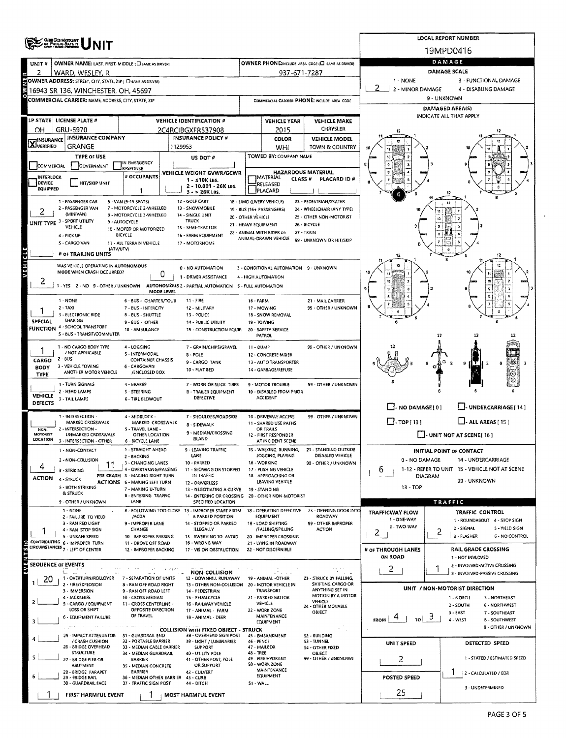|                            | ONIG DEPARTMENT                                                                                     |                                                                                         | <b>LOCAL REPORT NUMBER</b>               |                                                                               |                                                                                     |                                                   |                                              |                                          |                                                   |                                                               |  |  |  |  |
|----------------------------|-----------------------------------------------------------------------------------------------------|-----------------------------------------------------------------------------------------|------------------------------------------|-------------------------------------------------------------------------------|-------------------------------------------------------------------------------------|---------------------------------------------------|----------------------------------------------|------------------------------------------|---------------------------------------------------|---------------------------------------------------------------|--|--|--|--|
|                            |                                                                                                     |                                                                                         |                                          |                                                                               |                                                                                     |                                                   |                                              |                                          |                                                   | 19MPD0416                                                     |  |  |  |  |
| UNIT#                      | OWNER NAME: LAST, FIRST, MIDDLE (C) SAME AS DRIVER!                                                 |                                                                                         |                                          |                                                                               | DAMAGE                                                                              |                                                   |                                              |                                          |                                                   |                                                               |  |  |  |  |
| 2                          | WARD, WESLEY, R                                                                                     |                                                                                         |                                          |                                                                               |                                                                                     | 937-671-7287                                      |                                              | 1 - NONE                                 |                                                   | <b>DAMAGE SCALE</b><br>3 - FUNCTIONAL DAMAGE                  |  |  |  |  |
|                            | OWNER ADDRESS: STREET, CITY, STATE, ZIP ( C) SAME AS ORIVER)<br>16943 SR 136, WINCHESTER, OH, 45697 |                                                                                         |                                          |                                                                               |                                                                                     |                                                   |                                              | 2 - MINOR DAMAGE<br>4 - DISABLING DAMAGE |                                                   |                                                               |  |  |  |  |
|                            | <b>COMMERCIAL CARRIER: NAME, ADDRESS, CITY, STATE, ZIP</b>                                          |                                                                                         |                                          |                                                                               |                                                                                     |                                                   | COMMERCIAL CARRIER PHONE: INCLUDE AREA CODE  | 9 - UNKNOWN                              |                                                   |                                                               |  |  |  |  |
|                            |                                                                                                     |                                                                                         |                                          | <b>DAMAGED AREA(S)</b>                                                        |                                                                                     |                                                   |                                              |                                          |                                                   |                                                               |  |  |  |  |
|                            | LP STATE LICENSE PLATE #                                                                            |                                                                                         |                                          | <b>VEHICLE IDENTIFICATION #</b>                                               |                                                                                     | <b>VEHICLE YEAR</b>                               | <b>VEHICLE MAKE</b>                          |                                          |                                                   | INDICATE ALL THAT APPLY                                       |  |  |  |  |
| OН                         | GRU-5970                                                                                            |                                                                                         |                                          | 2C4RCIBGXFR537908                                                             |                                                                                     | 2015                                              | <b>CHRYSLER</b>                              |                                          |                                                   |                                                               |  |  |  |  |
| <b>X</b> INSURANCE         | <b>INSURANCE COMPANY</b><br><b>GRANGE</b>                                                           |                                                                                         | 1129953                                  | <b>INSURANCE POLICY #</b>                                                     |                                                                                     | COLOR                                             | <b>VEHICLE MODEL</b>                         |                                          |                                                   |                                                               |  |  |  |  |
|                            | <b>TYPE OF USE</b>                                                                                  |                                                                                         |                                          | US DOT #                                                                      |                                                                                     | WHI<br>TOWED BY: COMPANY NAME                     | TOWN & COUNTRY                               |                                          |                                                   |                                                               |  |  |  |  |
| COMMERCIAL                 | <b>GOVERNMENT</b>                                                                                   | IN EMERGENCY<br><b>RESPONSE</b>                                                         |                                          |                                                                               |                                                                                     |                                                   |                                              |                                          |                                                   |                                                               |  |  |  |  |
| INTERLOCK                  |                                                                                                     | # OCCUPANTS                                                                             |                                          | VEHICLE WEIGHT GVWR/GCWR                                                      | <b>HAZARDOUS MATERIAL</b><br><b>IMATERIAL</b><br>CLASS <sup>#</sup><br>PLACARD ID # |                                                   |                                              |                                          |                                                   |                                                               |  |  |  |  |
| DEVICE<br>EQUIPPED         | <b>HIT/SKIP UNIT</b>                                                                                | -1                                                                                      | $1 - S10K$ LBS.<br>2 - 10.001 - 26K LBS. |                                                                               |                                                                                     | RELEASED<br>PLACARD                               |                                              |                                          |                                                   |                                                               |  |  |  |  |
|                            | 1 - PASSENGER CAR                                                                                   | $6 - VAN$ (9-15 SEATS)                                                                  |                                          | $3 - 26$ K LBS.<br>12 - GOLF CART                                             |                                                                                     | 18 - LIMO (LIVERY VEHICLE)                        | 23 - PEDESTRIAN/SKATER                       |                                          |                                                   |                                                               |  |  |  |  |
|                            | 2 - PASSENGER VAN<br>(MINIVAN)                                                                      | 7 - MOTORCYCLE 2-WHEELED                                                                |                                          | 13 - SNOWMOBILE                                                               |                                                                                     | 19 - BUS (16+ PASSENGERS)                         | 24 - WHEELCHAIR (ANY TYPE)                   |                                          |                                                   |                                                               |  |  |  |  |
|                            | UNIT TYPE 3 - SPORT UTILITY                                                                         | 8 - MOTORCYCLE 3-WHEELED<br>9 - AUTOCYCLE                                               |                                          | 14 - SINGLE UNIT<br><b>TRUCK</b>                                              | 20 - OTHER VEHICLE                                                                  | 25 - OTHER NON-MOTORIST                           |                                              |                                          |                                                   |                                                               |  |  |  |  |
|                            | VEHICLE                                                                                             | 10 - MOPED OR MOTORIZED<br>BICYCLE                                                      |                                          | 15 - SEMI-TRACTOR<br>16 - FARM EQUIPMENT                                      |                                                                                     | 21 - HEAVY EQUIPMENT<br>22 - ANIMAL WITH RIDER OR | 26 - BICYCLE<br>27 - TRAIN                   |                                          |                                                   |                                                               |  |  |  |  |
|                            | 4 - PICK UP<br>S - CARGO VAN                                                                        | 11 - ALL TERRAIN VEHICLE                                                                |                                          | 17 - MOTORHOME                                                                |                                                                                     | ANIMAL-DRAWN VEHICLE                              | 99 - UNKNOWN OR HIT/SKIP                     |                                          |                                                   |                                                               |  |  |  |  |
|                            | (ATV/UTV)<br># OF TRAILING UNITS                                                                    |                                                                                         |                                          |                                                                               |                                                                                     |                                                   |                                              |                                          |                                                   | 12                                                            |  |  |  |  |
| <b>AEHICTE</b>             | WAS VEHICLE OPERATING IN AUTONOMOUS                                                                 |                                                                                         |                                          | 0 - NO AUTOMATION                                                             |                                                                                     | 3 - CONDITIONAL AUTOMATION 9 - UNKNOWN            |                                              |                                          |                                                   |                                                               |  |  |  |  |
|                            | MODE WHEN CRASH OCCURRED?                                                                           | 0                                                                                       |                                          | 1 - DRIVER ASSISTANCE                                                         |                                                                                     | 4 - HIGH AUTOMATION                               |                                              |                                          |                                                   |                                                               |  |  |  |  |
| z                          | 1 - YES 2 - NO 9 - OTHER / UNKNOWN AUTONOMOUS 2 - PARTIAL AUTOMATION 5 - FULL AUTOMATION            |                                                                                         |                                          |                                                                               |                                                                                     |                                                   |                                              |                                          |                                                   |                                                               |  |  |  |  |
|                            | 1 - NONE                                                                                            | MODE LEVEL<br>6 - BUS - CHARTER/TOUR                                                    |                                          | $11 - FIRE$                                                                   | 16 - FARM                                                                           |                                                   | 21 - MAIL CARRIER                            |                                          |                                                   |                                                               |  |  |  |  |
|                            | $2 - TAXI$                                                                                          | 7 - BUS - INTERCITY                                                                     |                                          | 12 - MILITARY                                                                 |                                                                                     | 17 - MOWING                                       | 99 - OTHER / UNKNOWN                         |                                          |                                                   |                                                               |  |  |  |  |
| SPECIAL                    | 3 - ELECTRONIC RIDE<br><b>SHARING</b>                                                               | <b>B - BUS - SHUTTLE</b>                                                                | 13 - POLICE                              |                                                                               |                                                                                     | 18 - SNOW REMOVAL                                 |                                              |                                          |                                                   |                                                               |  |  |  |  |
|                            | <b>FUNCTION 4 - SCHOOL TRANSPORT</b>                                                                | 9 - BUS - OTHER<br>10 - AMBULANCE                                                       |                                          | 14 - PUBLIC UTILITY<br>15 - CONSTRUCTION EQUIP.                               |                                                                                     | 19 - TOWING<br>20 - SAFETY SERVICE                |                                              |                                          |                                                   |                                                               |  |  |  |  |
|                            | S - 8US - TRANSIT/COMMUTER                                                                          |                                                                                         |                                          |                                                                               |                                                                                     | PATROL                                            |                                              |                                          | 12                                                | 17                                                            |  |  |  |  |
|                            | 1 - NO CARGO BODY TYPE<br>/ NOT APPLICABLE                                                          | 4 - LOGGING<br>S - INTERMODAL                                                           |                                          | 7 - GRAIN/CHIPS/GRAVEL<br>$8 - POLE$                                          | 11 - DUMP                                                                           | 12 - CONCRETE MIXER                               | 99 - OTHER / UNKNOWN                         |                                          |                                                   |                                                               |  |  |  |  |
| CARGO                      | $2 - BUS$                                                                                           | <b>CONTAINER CHASSIS</b>                                                                |                                          | 9 - CARGO TANK                                                                |                                                                                     | 13 - AUTO TRANSPORTER                             |                                              |                                          |                                                   | Ą<br>্ব                                                       |  |  |  |  |
| <b>BODY</b><br><b>TYPE</b> | 3 - VEHICLE TOWING<br>ANOTHER MOTOR VEHICLE                                                         | 6 - CARGOVAN<br>/ENCLOSED BOX                                                           |                                          | 10 - FLAT 8ED                                                                 |                                                                                     | 14 - GARBAGE/REFUSE                               |                                              |                                          |                                                   |                                                               |  |  |  |  |
|                            | 1 - TURN SIGNALS                                                                                    | 4 - BRAKES                                                                              |                                          | 7 - WORN OR SLICK TIRES                                                       |                                                                                     | 9 - MOTOR TROUBLE                                 | 99 - OTHER / UNKNOWN                         |                                          |                                                   |                                                               |  |  |  |  |
| <b>VEHICLE</b>             | 2 - HEAD LAMPS                                                                                      | 5 - STEERING                                                                            |                                          | <b>B - TRAILER EQUIPMENT</b><br>DEFECTIVE                                     |                                                                                     | 10 - DISABLED FROM PRIOR<br><b>ACCIDENT</b>       |                                              |                                          |                                                   |                                                               |  |  |  |  |
| <b>DEFECTS</b>             | 3 - TAIL LAMPS                                                                                      | <b>6 - TIRE BLOWOUT</b>                                                                 |                                          |                                                                               |                                                                                     |                                                   |                                              |                                          | $\Box$ - NO DAMAGE $\Box$<br>U-UNDERCARRIAGE [14] |                                                               |  |  |  |  |
|                            | 1 <b>INTERSECTION</b>                                                                               | 4 - MIDBLOCK -                                                                          |                                          | 7 - SHOULDER/ROADSIDE                                                         | 99 - OTHER / UNKNOWN<br>10 - DRIVEWAY ACCESS                                        |                                                   |                                              |                                          |                                                   | $\Box$ - ALL AREAS [ 15 ]                                     |  |  |  |  |
| NON-                       | MARKED CROSSWALK<br>2 - INTERSECTION -                                                              | MARKED CROSSWALK<br>5 - TRAVEL LANE -                                                   |                                          | 8 - SIDEWALK                                                                  | 11 - SHARED USE PATHS<br>OR TRAILS                                                  |                                                   |                                              | $\Box$ . TOP[13]                         |                                                   |                                                               |  |  |  |  |
| <b>MOTORIST</b>            | UNMARKED CROSSWALK<br>LOCATION 3 - INTERSECTION - OTHER                                             | OTHER LOCATION<br>6 - BICYCLE LANE                                                      |                                          | 9 - MEDIAN/CROSSING<br><b>ISLAND</b>                                          |                                                                                     | 12 - FIRST RESPONDER<br>AT INCIDENT SCENE         |                                              |                                          | $\Box$ - UNIT NOT AT SCENE [ 16 ]                 |                                                               |  |  |  |  |
|                            | <b>1 - NON-CONTACT</b>                                                                              | 1 - STRAIGHT AHEAD                                                                      |                                          | LEAVING TRAFFIC                                                               |                                                                                     | · WALKING, RUNNING,                               | - STANDING OUTSIDE                           |                                          |                                                   | <b>INITIAL POINT OF CONTACT</b>                               |  |  |  |  |
|                            | 2 - NON-COLLISION<br>11                                                                             | 2 - BACKING<br>3 - CHANGING LANES                                                       |                                          | LANE<br>10 - PARKED                                                           |                                                                                     | JOGGING, PLAYING<br>16 - WORKING                  | DISABLED VEHICLE<br>99 - OTHER / UNKNOWN     | 0 - NO DAMAGE                            |                                                   | 14 - UNDERCARRIAGE                                            |  |  |  |  |
| 4                          | 3 - STRIKING                                                                                        | 4 - OVERTAKING/PASSING<br>PRE-CRASH S - MAKING RIGHT TURN                               |                                          | 11 - SLOWING OR STOPPED<br>IN TRAFFIC                                         |                                                                                     | 17 - PUSHING VEHICLE<br>18 - APPROACHING OR       |                                              | 6                                        | DIAGRAM                                           | 1-12 - REFER TO UNIT 15 - VEHICLE NOT AT SCENE                |  |  |  |  |
| <b>ACTION</b>              | 4 - STRUCK<br>5 - BOTH STRIKING                                                                     | ACTIONS 6 - MAKING LEFT TURN                                                            |                                          | 12 - DRIVERLESS                                                               |                                                                                     | LEAVING VEHICLE                                   |                                              | $13 - TOP$                               |                                                   | 99 - UNKNOWN                                                  |  |  |  |  |
|                            | & STRUCK                                                                                            | 7 - MAKING U-TURN<br>8 - ENTERING TRAFFIC                                               |                                          | 13 - NEGOTIATING A CURVE<br>14 - ENTERING OR CROSSING 20 - OTHER NON-MOTORIST |                                                                                     | 19 - STANDING                                     |                                              |                                          |                                                   |                                                               |  |  |  |  |
|                            | 9 - OTHER / UNKNOWN                                                                                 | LANE                                                                                    |                                          | SPECIFIED LOCATION                                                            |                                                                                     |                                                   |                                              |                                          |                                                   | TRAFFIC                                                       |  |  |  |  |
|                            | 1 - NONE<br>2 - FAILURE TO YIELD                                                                    | /ACDA                                                                                   |                                          | 8 - FOLLOWING TOO CLOSE 13 - IMPROPER START FROM<br>A PARKED POSITION         |                                                                                     | 18 - OPERATING DEFECTIVE<br>EQUIPMENT             | 23 - OPENING DOOR INTO<br>ROADWAY            | TRAFFICWAY FLOW<br>1 - ONE-WAY           |                                                   | TRAFFIC CONTROL<br>1 - ROUNDABOUT 4 - STOP SIGN               |  |  |  |  |
|                            | 3 - RAN RED LIGHT<br>4 - RAN STOP SIGN                                                              | 9 - IMPROPER LANE<br>CHANGE                                                             |                                          | 14 - STOPPED OR PARKED<br>ILLEGALLY                                           |                                                                                     | 19 - LOAD SHIFTING<br>/FALLING/SPILLING           | 99 - OTHER IMPROPER<br><b>ACTION</b>         | 2 - TWO-WAY                              |                                                   | 2 - SIGNAL<br>5 - YIELD SIGN                                  |  |  |  |  |
|                            | 5 - UNSAFE SPEED<br>CONTRIBUTING 6 - IMPROPER TURN                                                  | 10 - IMPROPER PASSING<br>11 - DROVE OFF ROAD                                            |                                          | 15 - SWERVING TO AVOID<br>16 - WRONG WAY                                      |                                                                                     | 20 - IMPROPER CROSSING<br>21 - LYING IN ROADWAY   |                                              | 2                                        | 2                                                 | 3 - FLASHER<br>6 - NO CONTROL                                 |  |  |  |  |
| ទីន                        | CIRCUMSTANCES <sub>7</sub> - LEFT OF CENTER                                                         | 12 - IMPROPER BACKING                                                                   |                                          | 17 - VISION OBSTRUCTION                                                       |                                                                                     | 22 - NOT DISCERNIBLE                              |                                              | # OF THROUGH LANES                       |                                                   | RAIL GRADE CROSSING                                           |  |  |  |  |
| SEOUENCE OF EVENTS         |                                                                                                     |                                                                                         |                                          |                                                                               |                                                                                     |                                                   |                                              | ON ROAD                                  |                                                   | 1 - NOT INVLOVED                                              |  |  |  |  |
| EVEN                       | $f_{\rm max}$                                                                                       |                                                                                         |                                          | <b>NON-COLLISION</b>                                                          |                                                                                     |                                                   | ACS.                                         | 2                                        |                                                   | 2 - INVOLVED-ACTIVE CROSSING<br>3 - INVOLVED-PASSIVE CROSSING |  |  |  |  |
| 20                         | 1 - OVERTURN/ROLLOVER<br>2 - FIRE/EXPLOSION                                                         | 7 - SEPARATION OF UNITS<br><b>8 - RAN OFF ROAD RIGHT</b>                                |                                          | 12 - DOWNHILL RUNAWAY<br>13 - OTHER NON-COLLISION                             |                                                                                     | 19 - ANIMAL -OTHER<br>20 - MOTOR VEHICLE IN       | 23 - STRUCK 8Y FALLING,<br>SHIFTING CARGO OR |                                          |                                                   |                                                               |  |  |  |  |
|                            | 3 - IMMERSION<br>4 - JACKKNIFE                                                                      | 9 - RAN OFF ROAD LEFT                                                                   |                                          | 14 - PEDESTRIAN                                                               |                                                                                     | TRANSPORT                                         | ANYTHING SET IN<br><b>MOTION BY A MOTOR</b>  |                                          |                                                   | UNIT / NON-MOTORIST DIRECTION<br>1 - NORTH<br>5 - NORTHEAST   |  |  |  |  |
|                            | 5 - CARGO / EQUIPMENT                                                                               | 10 - CROSS MEDIAN<br>15 - PEDALCYCLE<br>11 - CROSS CENTERLINE -<br>16 - RAILWAY VEHICLE |                                          |                                                                               | 21 - PARKED MOTOR<br>VEHICLE<br>VEHICLE<br>24 - OTHER MOVABLE                       |                                                   |                                              |                                          | 6 - NORTHWEST<br>2 - SOUTH                        |                                                               |  |  |  |  |
|                            | LOSS OR SHIFT<br>6 - EQUIPMENT FAILURE                                                              | OPPOSITE DIRECTION<br>17 - ANIMAL - FARM<br>OF TRAVEL<br>18 - ANIMAL - DEER             |                                          |                                                                               | 22 - WORK ZONE<br>OBJECT<br><b>MAINTENANCE</b>                                      |                                                   |                                              | <b>FROM</b>                              | ್                                                 | 3 - EAST<br>7 - SOUTHEAST<br>4 - WEST                         |  |  |  |  |
|                            |                                                                                                     |                                                                                         |                                          | <b>COLLISION WITH FIXED OBJECT - STRUCK</b>                                   |                                                                                     | EQUIPMENT                                         |                                              |                                          |                                                   | <b>B - SOUTHWEST</b><br>9 - OTHER / UNKNOWN                   |  |  |  |  |
|                            | 25 - IMPACT ATTENUATOR<br>/ CRASH CUSHION                                                           | 31 - GUARDRAIL END<br>32 - PORTABLE BARRIER                                             |                                          | 3B - OVERHEAD SIGN POST                                                       |                                                                                     | 45 - EMBANKMENT                                   | 52 - BUILDING<br>53 - TUNNEL                 |                                          |                                                   |                                                               |  |  |  |  |
|                            | 26 - 8RIDGE OVERHEAD                                                                                | 33 - MEDIAN CABLE BARRIER                                                               |                                          | 39 - LIGHT / LUMINARIES<br><b>SUPPORT</b>                                     | 46 - FENCE                                                                          | 47 - MAILBOX                                      | 54 - OTHER FIXED                             | UNIT SPEED                               |                                                   | DETECTED SPEED                                                |  |  |  |  |
|                            | <b>STRUCTURE</b><br>27 - BRIDGE PIER OR                                                             | 34 - MEDIAN GUARDRAIL<br><b>BARRIER</b>                                                 |                                          | 40 - UTILITY POLE<br>41 - OTHER POST, POLE                                    | 48 - TREE                                                                           | 49 - FIRE HYDRANT                                 | <b>OBJECT</b><br>99 - OTHER / UNKNOWN        | 2                                        |                                                   | 1 - STATED / ESTIMATED SPEED                                  |  |  |  |  |
|                            | ABUTMENT<br>28 - 8RIDGE PARAPET                                                                     | 35 - MEDIAN CONCRETE<br><b>BARRIER</b>                                                  |                                          | OR SUPPORT<br>42 - CULVERT                                                    |                                                                                     | 50 - WORK ZONE<br>MAINTENANCE                     |                                              |                                          |                                                   | 2 - CALCULATED / EDR                                          |  |  |  |  |
|                            | 29 - BRIDGE RAIL<br>30 - GUARDRAIL FACE                                                             | 36 - MEDIAN OTHER BARRIER 43 - CURS<br>37 - TRAFFIC SIGN POST                           |                                          | 44 - DITCH                                                                    | 51 - WALL                                                                           | <b>EQUIPMENT</b>                                  |                                              | POSTED SPEED                             |                                                   |                                                               |  |  |  |  |
|                            | FIRST HARMFUL EVENT                                                                                 |                                                                                         |                                          | MOST HARMFUL EVENT                                                            |                                                                                     |                                                   |                                              | 25                                       |                                                   | 3 - UNDETERMINED                                              |  |  |  |  |
|                            |                                                                                                     |                                                                                         |                                          |                                                                               |                                                                                     |                                                   |                                              |                                          |                                                   |                                                               |  |  |  |  |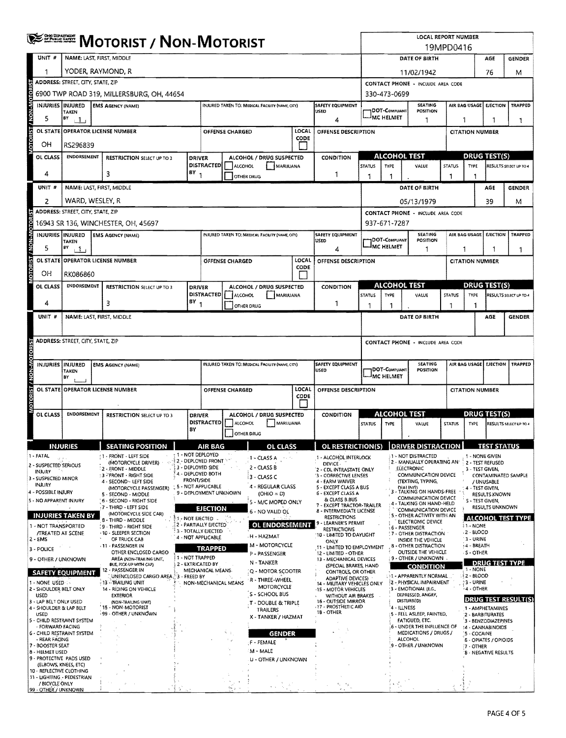|                         | ORO DEPARTMENT<br><b>MOTORIST / NON-MOTORIST</b>  |                                                        |  |                                                                                                                                                                                             |                 |                                                           |                                                                |                                    |                                                 |                                                                         |                                         | <b>LOCAL REPORT NUMBER</b><br>19MPD0416                                  |                                                                                      |                                                                   |                                                                      |                        |                                    |                                                         |                                           |                                |  |  |
|-------------------------|---------------------------------------------------|--------------------------------------------------------|--|---------------------------------------------------------------------------------------------------------------------------------------------------------------------------------------------|-----------------|-----------------------------------------------------------|----------------------------------------------------------------|------------------------------------|-------------------------------------------------|-------------------------------------------------------------------------|-----------------------------------------|--------------------------------------------------------------------------|--------------------------------------------------------------------------------------|-------------------------------------------------------------------|----------------------------------------------------------------------|------------------------|------------------------------------|---------------------------------------------------------|-------------------------------------------|--------------------------------|--|--|
|                         | UNIT #                                            | NAME: LAST, FIRST, MIDDLE                              |  |                                                                                                                                                                                             |                 |                                                           |                                                                |                                    |                                                 |                                                                         |                                         |                                                                          |                                                                                      |                                                                   | DATE OF BIRTH                                                        |                        |                                    |                                                         | AGE                                       | <b>GENDER</b>                  |  |  |
|                         | 1                                                 | YODER, RAYMOND, R                                      |  |                                                                                                                                                                                             |                 |                                                           |                                                                |                                    |                                                 |                                                                         |                                         |                                                                          |                                                                                      |                                                                   | 11/02/1942                                                           |                        |                                    |                                                         | 76                                        | M                              |  |  |
|                         |                                                   | ADDRESS: STREET, CITY, STATE, ZIP                      |  |                                                                                                                                                                                             |                 |                                                           |                                                                |                                    |                                                 |                                                                         |                                         |                                                                          | CONTACT PHONE - INCLUDE AREA CODE                                                    |                                                                   |                                                                      |                        |                                    |                                                         |                                           |                                |  |  |
| <b>NON-MOTOR</b>        |                                                   | 6900 TWP ROAD 319, MILLERSBURG, OH, 44654              |  |                                                                                                                                                                                             |                 |                                                           |                                                                |                                    |                                                 |                                                                         |                                         |                                                                          | 330-473-0699<br><b>SEATING</b><br>AIR BAG USAGE<br><b>EJECTION</b><br><b>TRAPPED</b> |                                                                   |                                                                      |                        |                                    |                                                         |                                           |                                |  |  |
|                         | INJURIES INJURED                                  | TAKEN                                                  |  | <b>EMS AGENCY (NAME)</b>                                                                                                                                                                    |                 |                                                           |                                                                |                                    | INJURED TAKEN TO: MEDICAL FACILITY (NAME CITY)  |                                                                         |                                         | SAFETY EQUIPMENT<br>USED                                                 |                                                                                      | DOT-Compliant<br><b>IMC HELMET</b>                                | <b>POSITION</b>                                                      |                        |                                    |                                                         |                                           |                                |  |  |
|                         | 5                                                 | BY<br>$+1$                                             |  | <b>OPERATOR LICENSE NUMBER</b>                                                                                                                                                              |                 |                                                           |                                                                |                                    |                                                 | LOCAL                                                                   |                                         | Δ                                                                        |                                                                                      |                                                                   | 1                                                                    |                        | 1                                  |                                                         | 1                                         | 1                              |  |  |
| <b>DTORIST</b>          | <b>OL STATE</b><br>OН                             | RS296839                                               |  |                                                                                                                                                                                             |                 |                                                           |                                                                | OFFENSE CHARGED                    |                                                 | CODE                                                                    |                                         | OFFENSE DESCRIPTION                                                      |                                                                                      |                                                                   |                                                                      |                        |                                    | <b>CITATION NUMBER</b>                                  |                                           |                                |  |  |
|                         | OL CLASS                                          | <b>ENDORSEMENT</b>                                     |  | <b>RESTRICTION SELECT UP TO 3</b>                                                                                                                                                           |                 | <b>DRIVER</b>                                             |                                                                |                                    | ALCOHOL / DRUG SUSPECTED                        |                                                                         |                                         | <b>CONDITION</b>                                                         | <b>ALCOHOL TEST</b>                                                                  |                                                                   |                                                                      |                        | <b>DRUG TEST(S)</b>                |                                                         |                                           |                                |  |  |
|                         |                                                   |                                                        |  |                                                                                                                                                                                             |                 | <b>DISTRACTED</b><br>$BY_1$                               |                                                                | ALCOHOL                            | MARUUANA                                        |                                                                         |                                         |                                                                          | <b>STATUS</b>                                                                        | TYPE                                                              | VALUE                                                                |                        | <b>STATUS</b>                      | <b>TYPE</b>                                             |                                           | RESULTS SELECT UP TO 4         |  |  |
|                         | 4                                                 |                                                        |  | 3                                                                                                                                                                                           |                 |                                                           |                                                                | <b>OTHER DRUG</b>                  |                                                 |                                                                         |                                         | 1                                                                        | 1                                                                                    | 1                                                                 |                                                                      |                        | -1                                 | -1                                                      |                                           |                                |  |  |
|                         | UNIT #                                            |                                                        |  | NAME: LAST, FIRST, MIDDLE                                                                                                                                                                   |                 |                                                           |                                                                |                                    |                                                 |                                                                         |                                         |                                                                          |                                                                                      |                                                                   | DATE OF BIRTH                                                        |                        |                                    |                                                         | AGE                                       | <b>GENDER</b>                  |  |  |
|                         | 2                                                 | WARD, WESLEY, R<br>ADDRESS: STREET, CITY, STATE, ZIP   |  |                                                                                                                                                                                             |                 |                                                           |                                                                |                                    |                                                 |                                                                         |                                         |                                                                          |                                                                                      |                                                                   | 05/13/1979<br><b>CONTACT PHONE - INCLUDE AREA CODE</b>               |                        |                                    |                                                         | 39                                        | М                              |  |  |
| <b>BOTO</b>             |                                                   |                                                        |  | 16943 SR 136, WINCHESTER, OH, 45697                                                                                                                                                         |                 |                                                           |                                                                |                                    |                                                 |                                                                         |                                         |                                                                          |                                                                                      | 937-671-7287                                                      |                                                                      |                        |                                    |                                                         |                                           |                                |  |  |
|                         |                                                   |                                                        |  | INJURIES INJURED   EMS AGENCY (NAME)                                                                                                                                                        |                 |                                                           |                                                                |                                    | INJURED TAKEN TO: MEDICAL FACILITY (NAME, CITY) |                                                                         |                                         | SAFETY EQUIPMENT<br>USED                                                 |                                                                                      |                                                                   | <b>SEATING</b><br>POSITION                                           |                        | AIR BAG USAGE<br><b>EJECTION</b>   |                                                         |                                           | TRAPPED                        |  |  |
| <b>N-NON</b>            | 5                                                 | <b>TAKEN</b><br>$\mathsf{P}^{\mathsf{y}}$ $\mathsf{L}$ |  |                                                                                                                                                                                             |                 |                                                           |                                                                |                                    |                                                 |                                                                         |                                         | 4                                                                        | <b>DOT-COMPLIANT</b><br><b>MC HELMET</b>                                             |                                                                   |                                                                      | 1                      | 1                                  |                                                         | J.                                        | 1                              |  |  |
| <b>OTORIST</b>          |                                                   |                                                        |  | OL STATE OPERATOR LICENSE NUMBER                                                                                                                                                            |                 |                                                           |                                                                | <b>OFFENSE CHARGED</b>             |                                                 | LOCAL<br>CODE                                                           |                                         | OFFENSE DESCRIPTION                                                      |                                                                                      |                                                                   |                                                                      |                        |                                    | <b>CITATION NUMBER</b>                                  |                                           |                                |  |  |
|                         | OН                                                | RK086860                                               |  |                                                                                                                                                                                             |                 |                                                           |                                                                |                                    |                                                 |                                                                         |                                         |                                                                          |                                                                                      |                                                                   |                                                                      |                        |                                    |                                                         |                                           |                                |  |  |
|                         | OL CLASS                                          | <b>ENDORSEMENT</b>                                     |  | <b>RESTRICTION SELECT UP TO 3</b>                                                                                                                                                           |                 | <b>DRIVER</b>                                             |                                                                |                                    | ALCOHOL / DRUG SUSPECTED<br>CONDITION           |                                                                         |                                         |                                                                          |                                                                                      |                                                                   | ALCOHOL TEST                                                         |                        | <b>DRUG TEST(S)</b>                |                                                         |                                           |                                |  |  |
|                         | 4                                                 |                                                        |  | 3                                                                                                                                                                                           |                 | $(8Y)_1$                                                  |                                                                | DISTRACTED   ALCOHOL<br>OTHER DRUG | MARIJUANA                                       |                                                                         |                                         | 1                                                                        | <b>STATUS</b><br>1                                                                   | TYPE                                                              | VALUE                                                                |                        | <b>STATUS</b><br>-1                | TYPE<br>1                                               |                                           | RESULTS SELECT UP TO 4         |  |  |
|                         | UNIT #                                            |                                                        |  | NAME: LAST, FIRST, MIDDLE                                                                                                                                                                   |                 |                                                           |                                                                |                                    |                                                 |                                                                         |                                         |                                                                          |                                                                                      |                                                                   | DATE OF BIRTH                                                        |                        |                                    |                                                         | AGE                                       | <b>GENDER</b>                  |  |  |
|                         |                                                   |                                                        |  |                                                                                                                                                                                             |                 |                                                           |                                                                |                                    |                                                 |                                                                         |                                         |                                                                          |                                                                                      |                                                                   |                                                                      |                        |                                    |                                                         |                                           |                                |  |  |
|                         |                                                   | ADDRESS: STREET, CITY, STATE, ZIP                      |  |                                                                                                                                                                                             |                 |                                                           |                                                                |                                    |                                                 |                                                                         |                                         |                                                                          |                                                                                      |                                                                   | CONTACT PHONE - INCLUDE AREA CODE                                    |                        |                                    |                                                         |                                           |                                |  |  |
|                         |                                                   |                                                        |  |                                                                                                                                                                                             |                 |                                                           |                                                                |                                    |                                                 |                                                                         |                                         |                                                                          |                                                                                      |                                                                   |                                                                      |                        |                                    |                                                         |                                           |                                |  |  |
| <b><i>NON-MOTOR</i></b> | INJURIES INJURED                                  | <b>TAKEN</b>                                           |  | <b>EMS AGENCY (NAME)</b>                                                                                                                                                                    |                 |                                                           |                                                                |                                    | INJURED TAKEN TO: MEDICAL FACILITY (NAME, CITY) |                                                                         |                                         | SAFETY EQUIPMENT<br>USED                                                 |                                                                                      | SEATING<br> DOT-Compliant<br>POSITION<br>IMC HELMET               |                                                                      |                        |                                    |                                                         |                                           | AIR BAG USAGE EJECTION TRAPPED |  |  |
|                         |                                                   | BY                                                     |  | OL STATE OPERATOR LICENSE NUMBER                                                                                                                                                            |                 |                                                           | LOCAL<br>OFFENSE CHARGED                                       |                                    |                                                 |                                                                         |                                         | OFFENSE DESCRIPTION                                                      |                                                                                      |                                                                   |                                                                      |                        |                                    | <b>CITATION NUMBER</b>                                  |                                           |                                |  |  |
| <b>VIOTORIST</b>        |                                                   |                                                        |  |                                                                                                                                                                                             |                 | CODE                                                      |                                                                |                                    |                                                 |                                                                         |                                         |                                                                          |                                                                                      |                                                                   |                                                                      |                        |                                    |                                                         |                                           |                                |  |  |
|                         | OL CLASS                                          | <b>ENDORSEMENT</b>                                     |  | <b>RESTRICTION SELECT UP TO 3</b>                                                                                                                                                           |                 | <b>DRIVER</b>                                             | ALCOHOL / DRUG SUSPECTED<br><b>CONDITION</b>                   |                                    |                                                 |                                                                         | <b>ALCOHOL TEST</b>                     |                                                                          | <b>DRUG TEST(S)</b>                                                                  |                                                                   |                                                                      |                        |                                    |                                                         |                                           |                                |  |  |
|                         |                                                   |                                                        |  |                                                                                                                                                                                             |                 | <b>DISTRACTED</b><br>BY                                   |                                                                | <b>ALCOHOL</b>                     | MARUUANA                                        |                                                                         |                                         |                                                                          | <b>STATUS</b>                                                                        | <b>TYPE</b>                                                       | VALUE                                                                |                        | <b>STATUS</b>                      | <b>TYPE</b>                                             |                                           | RESULTS SELECT UP TO 4         |  |  |
|                         |                                                   |                                                        |  |                                                                                                                                                                                             |                 |                                                           | AID RAG                                                        | OTHER DRUG                         |                                                 |                                                                         |                                         | OL RESTRICTION(S) DRIVER DISTRACTION                                     |                                                                                      |                                                                   |                                                                      |                        |                                    |                                                         | <b>TECT CTATHS</b>                        |                                |  |  |
|                         | 1 - FATAL                                         | <b>INJURIES</b>                                        |  | <b>SEATING POSITION</b><br>1 - FRONT - LEFT SIDE                                                                                                                                            |                 | 1 - NOT DEPLOYED                                          |                                                                |                                    | OL CLAŚS<br>1 - CLASS A                         |                                                                         |                                         | 1 - ALCOHOL INTERLOCK                                                    |                                                                                      |                                                                   | <b>A1 - NOT DISTRACTED</b>                                           |                        |                                    | 1 - NONE GIVEN                                          |                                           |                                |  |  |
|                         | 2 - SUSPECTED SERIOUS<br><b>INJURY</b>            |                                                        |  | (MOTORCYCLE DRIVER)<br>2 - FRONT - MIDDLE                                                                                                                                                   |                 | $\S$ 2 - Deployed front $\S$<br>3 - DEPLOYED SIDE         |                                                                |                                    | 2 - CLASS B                                     |                                                                         |                                         | DEVICE -<br>2 - CDL INTRASTATE ONLY                                      |                                                                                      |                                                                   | 2 - MANUALLY OPERATING AN<br>ELECTRONIC                              |                        |                                    | 2 - TEST REFUSED<br>3 - TEST GIVEN,                     |                                           |                                |  |  |
|                         | 3 - SUSPECTED MINOR<br><b>INJURY</b>              |                                                        |  | 3 FRONT - RIGHT SIDE<br>4 - SECOND ~ LEFT SIDE                                                                                                                                              |                 | 4 - DEPLOYED BOTH<br><b>FRONT/SIDE</b>                    |                                                                |                                    | 3 - CLASS C                                     |                                                                         |                                         | '3 - CORRECTIVE LENSES<br>4 - FARM WAIVER                                | COMMUNICATION DEVICE<br>(TEXTING, TYPING,                                            |                                                                   |                                                                      |                        |                                    | CONTAMINATED SAMPLE<br>/ UNUSABLE                       |                                           |                                |  |  |
|                         | 4 - POSSIBLE INJURY                               |                                                        |  | (MOTORCYCLE PASSENGER)<br>5 - SECOND - MIDDLE                                                                                                                                               |                 | 5 - NOT APPLICABLE<br>9 - DEPLOYMENT UNKNOWN              |                                                                |                                    | 4 - REGULAR CLASS<br>$(OHIO = D)$               |                                                                         |                                         | 5 - EXCEPT CLASS A BUS<br>6 - EXCEPT CLASS A                             | <b>DIAHMGI</b><br>3 - TALKING ON HANDS-FREE<br>COMMUNICATION DEVICE                  |                                                                   |                                                                      |                        |                                    | 4 - TEST GIVEN,<br><b>RESULTS KNOWN</b>                 |                                           |                                |  |  |
|                         | 5 - NO APPARENT INJURY                            |                                                        |  | 5 - SECOND - RIGHT SIDE<br>7 - THIRD - LEFT SIDE                                                                                                                                            | <b>EJECTION</b> |                                                           |                                                                |                                    | 5 - M/C MOPED ONLY<br>6 - NO VALID OL           | & CLASS B BUS<br>7 - EXCEPT TRÁCTOR-TRAILER<br>8 - INTERMEDIATE LICENSE |                                         |                                                                          | 4 - TALKING ON HAND-HELD<br><b>COMMUNICATION DEVICE</b>                              |                                                                   |                                                                      |                        | S - TEST GIVEN,<br>RESULTS UNKNOWN |                                                         |                                           |                                |  |  |
|                         | 1 - NOT TRANSPORTED                               | <b>INJURIES TAKEN BY</b>                               |  | (MOTORCYCLE SIDE CAR)<br><b>RESTRICTIONS</b><br><b>1 NOT EJECTED</b><br>8 - THIRD - MIDDLE<br>LEARNER'S PERMIT<br>2 - PARTIALLY EJECTED<br><b>OL ENDORSEMENT</b><br>(9 - THIRD - RIGHT SIDE |                 |                                                           |                                                                |                                    |                                                 |                                                                         |                                         | 5 - OTHER ACTIVITY WITH AN<br>ELECTRONIC DEVICE                          |                                                                                      |                                                                   |                                                                      |                        | <b>ALCOHOL TEST TYPE</b>           |                                                         |                                           |                                |  |  |
|                         | <b>/TREATED AT SCENE</b><br>$2 - EMS$             |                                                        |  | · 10 - SLEEPER SECTION<br>OF TRUCK CAB                                                                                                                                                      |                 |                                                           | 3 - TOTALLY EJECTED<br><b>H - HAZMAT</b><br>4 - NOT APPLICABLE |                                    |                                                 |                                                                         |                                         | <b>RESTRICTIONS</b><br>10 - LIMITED TO DAYLIGHT                          |                                                                                      |                                                                   | 6 - PASSENGER<br><b>17 - OTHER DISTRACTION</b><br>INSIDE THE VEHICLE |                        |                                    | $1 - NONE$<br>$-2 - BLOOD$                              |                                           |                                |  |  |
|                         | 3 - POLICE                                        |                                                        |  | - 11 - PASSENGER IN<br>OTHER ENCLOSED CARGO                                                                                                                                                 |                 |                                                           | M - MOTORCYCLE<br>TRAPPED                                      |                                    |                                                 |                                                                         |                                         | ONLY<br>11 - LIMITED TO EMPLOYMENT                                       |                                                                                      |                                                                   | 8 - OTHER DISTRACTION<br>OUTSIDE THE VEHICLE                         |                        |                                    | $3 - URINE$<br>: 4 - BREATH                             |                                           |                                |  |  |
|                         | 9 - OTHER / UNKNOWN                               |                                                        |  | AREA (NON-TRAILING UNIT,<br>BUS, PICK-UP WITH CAP)                                                                                                                                          |                 | 1 - NOT TRAPPED<br>2 - EXTRICATED BY                      |                                                                |                                    | P - PASSENGER<br>N - TANKER                     |                                                                         |                                         | 12 - LIMITED - OTHER<br>13 - MECHANICAL DEVICES<br>(SPECIAL BRAKES, HAND |                                                                                      |                                                                   | 9 - OTHER / UNKNOWN                                                  |                        |                                    | <b>S - OTHER</b><br><b>DRUG TEST TYPE</b>               |                                           |                                |  |  |
|                         |                                                   | <b>SAFETY EQUIPMENT</b>                                |  | 12 - PASSENGER IN<br>UNENCLOSED CARGO AREA. <sup>8</sup> 3 - FREED BY                                                                                                                       |                 | MECHANICAL MEANS.<br>Q - MOTOR SCOOTER<br>R - THREE-WHEEL |                                                                |                                    |                                                 |                                                                         | CONTROLS, OR OTHER<br>ADAPTIVE DEVICES) |                                                                          | <b>CONDITION</b><br>131 - APPARENTLY NORMAL                                          |                                                                   |                                                                      | 1 - NONE<br>≹2 - BLOOD |                                    |                                                         |                                           |                                |  |  |
|                         | <b>1 - NONE USED C-</b><br>2 - SHOULDER BELT ONLY |                                                        |  | 13 - TRAILING UNIT<br>14 - RIDING ON VEHICLE                                                                                                                                                |                 |                                                           |                                                                | NON-MECHANICAL MEANS               | MOTORCYCLE<br>S - SCHOOL BUS                    |                                                                         |                                         | 14 - MILITARY VEHICLES ONLY<br>-15 - MOTOR VEHICLES                      |                                                                                      |                                                                   | 2 - PHYSICAL IMPAIRMENT<br>:3 - EMOTIONAL (E.G.,                     |                        |                                    | <b>3 - URINE</b><br>$4 - \text{OTHER}$                  |                                           |                                |  |  |
|                         | <b>USED</b><br>3 - LAP BELT ONLY USED             |                                                        |  | <b>EXTERIOR</b><br>(NON-TRAILING UNIT)                                                                                                                                                      |                 |                                                           |                                                                |                                    | .T - DOUBLE & TRIPLE                            |                                                                         |                                         | WITHOUT AIR BRAKES<br><b>16 - OUTSIDE MIRROR</b><br>.17 - PROSTHETIC AID |                                                                                      |                                                                   | DEPRESSED, ANGRY,<br>DISTURBED)                                      |                        |                                    |                                                         |                                           | <b>DRUG TEST RESULT(S)</b>     |  |  |
|                         | 4 - SHOULDER & LAP BELT<br>USED                   | 5 - CHILD RESTRAINT SYSTEM                             |  | 15 - NON-MOTORIST<br>-99 - OTHER / UNKNOWN                                                                                                                                                  |                 |                                                           | TRAILERS<br>X - TANKER / HAZMAT                                |                                    |                                                 |                                                                         | 18 - OTHER                              |                                                                          |                                                                                      | 4 - ILLNESS<br>5 - FELL ASLEEP, FAINTED,<br><b>FATIGUED, ETC.</b> |                                                                      |                        |                                    | 1 - AMPHETAMINES<br>2 - BARBITURATES                    |                                           |                                |  |  |
|                         | - FORWARD FACING                                  | 6 - CHILD RESTRAINT SYSTEM                             |  |                                                                                                                                                                                             |                 | <b>GENDER</b>                                             |                                                                |                                    |                                                 |                                                                         |                                         |                                                                          |                                                                                      | 6 - UNDER THE INFLUENCE OF<br>MEDICATIONS / DRUGS /               |                                                                      |                        |                                    | 3 - BENZODIAZEPINES<br>:4 - CANNABINOIDS<br>5 - COCAINE |                                           |                                |  |  |
|                         | - REAR FACING<br>7 - BOOSTER SEAT                 |                                                        |  |                                                                                                                                                                                             |                 |                                                           |                                                                |                                    | F - FEMALE                                      |                                                                         |                                         |                                                                          |                                                                                      |                                                                   | <b>ALCOHOL</b><br>9 - OTHER / UNKNOWN                                |                        |                                    |                                                         | <b>6 - OPIATES / OPIOIDS</b><br>7 - OTHER |                                |  |  |
|                         | 8 - HELMET USED                                   | 9 - PROTECTIVE PADS USED                               |  |                                                                                                                                                                                             |                 |                                                           |                                                                |                                    | M - MALE<br><b>U - OTHER / UNKNOWN</b>          |                                                                         |                                         |                                                                          |                                                                                      |                                                                   |                                                                      |                        | <b>B - NEGATIVE RESULTS</b>        |                                                         |                                           |                                |  |  |
|                         | (ELBOWS, KNEES, ETC)<br>10 - REFLECTIVE CLOTHING  |                                                        |  |                                                                                                                                                                                             |                 |                                                           |                                                                |                                    |                                                 |                                                                         |                                         |                                                                          |                                                                                      |                                                                   |                                                                      |                        |                                    |                                                         |                                           |                                |  |  |
|                         | / BICYCLE ONLY                                    | 11 - LIGHTING - PEDESTRIAN                             |  |                                                                                                                                                                                             |                 |                                                           |                                                                |                                    |                                                 |                                                                         |                                         | s.,<br>$\rightarrow$                                                     |                                                                                      |                                                                   |                                                                      |                        |                                    |                                                         |                                           |                                |  |  |
|                         | 99 - OTHER / UNKNOWN                              |                                                        |  |                                                                                                                                                                                             |                 |                                                           |                                                                |                                    |                                                 |                                                                         |                                         |                                                                          |                                                                                      |                                                                   |                                                                      |                        |                                    |                                                         |                                           |                                |  |  |